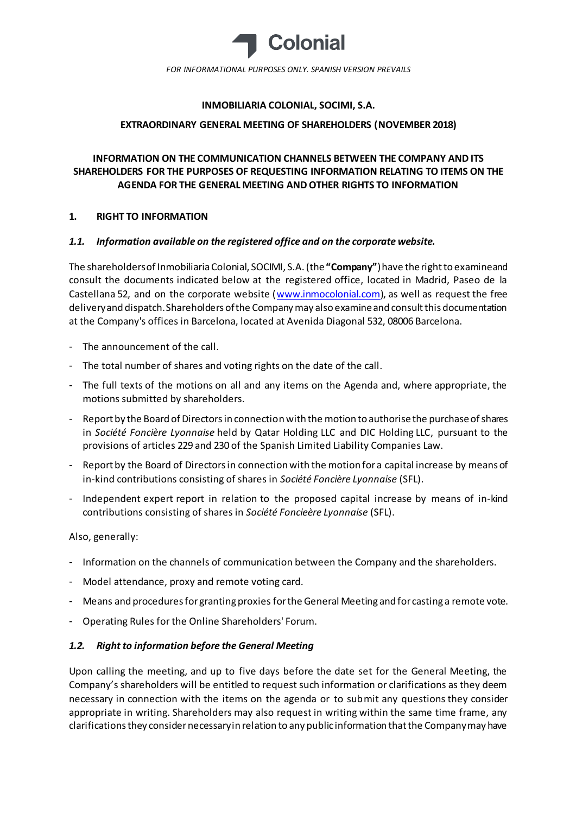

## **INMOBILIARIA COLONIAL, SOCIMI, S.A.**

### **EXTRAORDINARY GENERAL MEETING OF SHAREHOLDERS (NOVEMBER 2018)**

# **INFORMATION ON THE COMMUNICATION CHANNELS BETWEEN THE COMPANY AND ITS SHAREHOLDERS FOR THE PURPOSES OF REQUESTING INFORMATION RELATING TO ITEMS ON THE AGENDA FOR THE GENERAL MEETING AND OTHER RIGHTS TO INFORMATION**

### **1. RIGHT TO INFORMATION**

### *1.1. Information available on the registered office and on the corporate website.*

The shareholders of Inmobiliaria Colonial, SOCIMI, S.A. (the **"Company"**) have the right to examine and consult the documents indicated below at the registered office, located in Madrid, Paseo de la Castellana 52, and on the corporate website [\(www.inmocolonial.com](http://www.inmocolonial.com/)), as well as request the free delivery and dispatch. Shareholders of the Company may also examine and consult this documentation at the Company's offices in Barcelona, located at Avenida Diagonal 532, 08006 Barcelona.

- The announcement of the call.
- The total number of shares and voting rights on the date of the call.
- The full texts of the motions on all and any items on the Agenda and, where appropriate, the motions submitted by shareholders.
- Report by the Board of Directors in connection with the motion to authorisethe purchase of shares in *Société Foncière Lyonnaise* held by Qatar Holding LLC and DIC Holding LLC, pursuant to the provisions of articles 229 and 230 of the Spanish Limited Liability Companies Law.
- Report by the Board of Directors in connection with the motion for a capital increase by means of in-kind contributions consisting of shares in *Société Foncière Lyonnaise* (SFL).
- Independent expert report in relation to the proposed capital increase by means of in-kind contributions consisting of shares in *Société Foncieère Lyonnaise* (SFL).

Also, generally:

- Information on the channels of communication between the Company and the shareholders.
- Model attendance, proxy and remote voting card.
- Means and procedures for granting proxies for the General Meeting and for casting a remote vote.
- Operating Rules for the Online Shareholders' Forum.

### *1.2. Right to information before the General Meeting*

Upon calling the meeting, and up to five days before the date set for the General Meeting, the Company's shareholders will be entitled to request such information or clarifications as they deem necessary in connection with the items on the agenda or to submit any questions they consider appropriate in writing. Shareholders may also request in writing within the same time frame, any clarifications they consider necessary in relation to any public information that the Company may have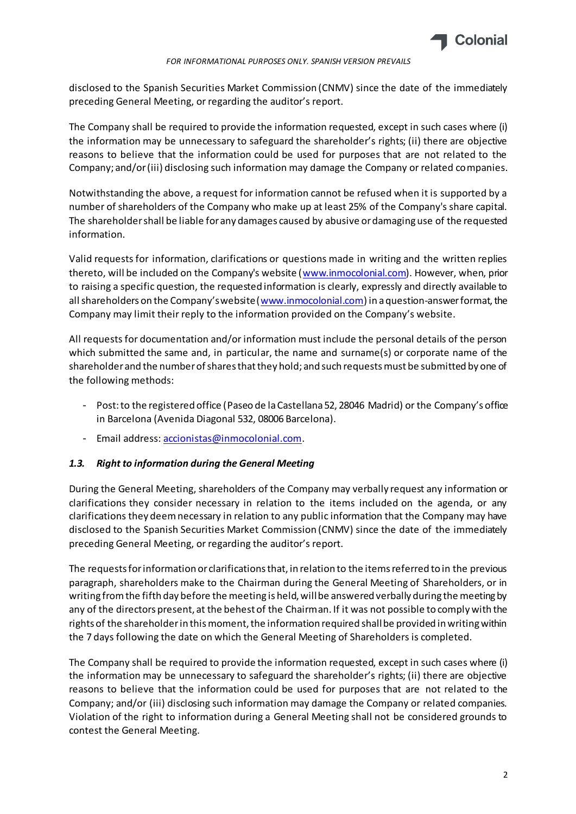

#### *FOR INFORMATIONAL PURPOSES ONLY. SPANISH VERSION PREVAILS*

disclosed to the Spanish Securities Market Commission (CNMV) since the date of the immediately preceding General Meeting, or regarding the auditor's report.

The Company shall be required to provide the information requested, except in such cases where (i) the information may be unnecessary to safeguard the shareholder's rights; (ii) there are objective reasons to believe that the information could be used for purposes that are not related to the Company; and/or (iii) disclosing such information may damage the Company or related companies.

Notwithstanding the above, a request for information cannot be refused when it is supported by a number of shareholders of the Company who make up at least 25% of the Company's share capital. The shareholder shall be liable for any damages caused by abusive or damaging use of the requested information.

Valid requests for information, clarifications or questions made in writing and the written replies thereto, will be included on the Company's website [\(www.inmocolonial.com](http://www.inmocolonial.com/)). However, when, prior to raising a specific question, the requested information is clearly, expressly and directly available to all shareholders on the Company's website ([www.inmocolonial.com](http://www.inmocolonial.com/)) in a question-answer format, the Company may limit their reply to the information provided on the Company's website.

All requests for documentation and/or information must include the personal details of the person which submitted the same and, in particular, the name and surname(s) or corporate name of the shareholder and the number of shares that they hold; and such requests must be submitted by one of the following methods:

- Post: to the registered office (Paseo de la Castellana 52, 28046 Madrid) or the Company's office in Barcelona (Avenida Diagonal 532, 08006 Barcelona).
- Email address[: accionistas@inmocolonial.com](mailto:accionistas@inmocolonial.com).

## *1.3. Right to information during the General Meeting*

During the General Meeting, shareholders of the Company may verbally request any information or clarifications they consider necessary in relation to the items included on the agenda, or any clarifications they deem necessary in relation to any public information that the Company may have disclosed to the Spanish Securities Market Commission (CNMV) since the date of the immediately preceding General Meeting, or regarding the auditor's report.

The requests for information or clarifications that, in relation to the items referred to in the previous paragraph, shareholders make to the Chairman during the General Meeting of Shareholders, or in writing from the fifth day before the meeting is held, will be answered verbally during the meeting by any of the directors present, at the behest of the Chairman. If it was not possible to comply with the rights of the shareholder in this moment, the information required shall be provided in writing within the 7 days following the date on which the General Meeting of Shareholders is completed.

The Company shall be required to provide the information requested, except in such cases where (i) the information may be unnecessary to safeguard the shareholder's rights; (ii) there are objective reasons to believe that the information could be used for purposes that are not related to the Company; and/or (iii) disclosing such information may damage the Company or related companies. Violation of the right to information during a General Meeting shall not be considered grounds to contest the General Meeting.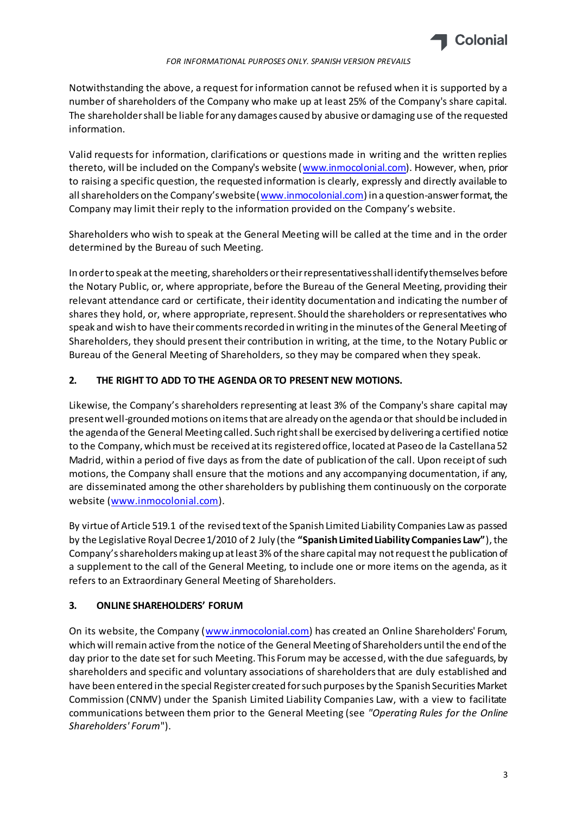

*FOR INFORMATIONAL PURPOSES ONLY. SPANISH VERSION PREVAILS*

Notwithstanding the above, a request for information cannot be refused when it is supported by a number of shareholders of the Company who make up at least 25% of the Company's share capital. The shareholder shall be liable for any damages caused by abusive or damaging use of the requested information.

Valid requests for information, clarifications or questions made in writing and the written replies thereto, will be included on the Company's website [\(www.inmocolonial.com](http://www.inmocolonial.com/)). However, when, prior to raising a specific question, the requested information is clearly, expressly and directly available to all shareholders on the Company's website ([www.inmocolonial.com](http://www.inmocolonial.com/)) in a question-answer format, the Company may limit their reply to the information provided on the Company's website.

Shareholders who wish to speak at the General Meeting will be called at the time and in the order determined by the Bureau of such Meeting.

In order to speak atthe meeting, shareholders or their representatives shall identify themselves before the Notary Public, or, where appropriate, before the Bureau of the General Meeting, providing their relevant attendance card or certificate, their identity documentation and indicating the number of shares they hold, or, where appropriate, represent. Should the shareholders or representatives who speak and wish to have their comments recorded in writing in the minutes of the General Meeting of Shareholders, they should present their contribution in writing, at the time, to the Notary Public or Bureau of the General Meeting of Shareholders, so they may be compared when they speak.

## **2. THE RIGHT TO ADD TO THE AGENDA OR TO PRESENT NEW MOTIONS.**

Likewise, the Company's shareholders representing at least 3% of the Company's share capital may present well-grounded motions on items that are already on the agenda or that should be included in the agenda of the General Meeting called. Such right shall be exercised by delivering a certified notice to the Company, which must be received at its registered office, located at Paseo de la Castellana 52 Madrid, within a period of five days as from the date of publication of the call. Upon receipt of such motions, the Company shall ensure that the motions and any accompanying documentation, if any, are disseminated among the other shareholders by publishing them continuously on the corporate website [\(www.inmocolonial.com](http://www.inmocolonial.com/)).

By virtue of Article 519.1 of the revised text of the Spanish Limited Liability Companies Law as passed by the Legislative Royal Decree 1/2010 of 2 July (the **"Spanish Limited Liability Companies Law"**), the Company's shareholders making up at least 3% of the share capital may not request the publication of a supplement to the call of the General Meeting, to include one or more items on the agenda, as it refers to an Extraordinary General Meeting of Shareholders.

# **3. ONLINE SHAREHOLDERS' FORUM**

On its website, the Company [\(www.inmocolonial.com](http://www.inmocolonial.com/)) has created an Online Shareholders' Forum, which will remain active from the notice of the General Meeting of Shareholders until the end of the day prior to the date set for such Meeting. This Forum may be accessed, with the due safeguards, by shareholders and specific and voluntary associations of shareholders that are duly established and have been entered in the special Register created for such purposes by the Spanish Securities Market Commission (CNMV) under the Spanish Limited Liability Companies Law, with a view to facilitate communications between them prior to the General Meeting (see *"Operating Rules for the Online Shareholders' Forum*").